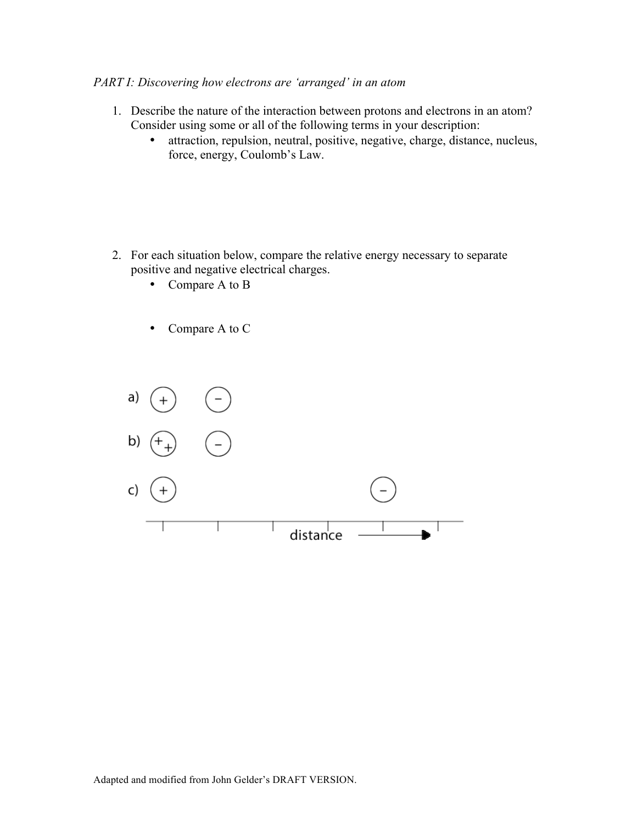## *PART I: Discovering how electrons are 'arranged' in an atom*

- 1. Describe the nature of the interaction between protons and electrons in an atom? Consider using some or all of the following terms in your description:
	- attraction, repulsion, neutral, positive, negative, charge, distance, nucleus, force, energy, Coulomb's Law.

- 2. For each situation below, compare the relative energy necessary to separate positive and negative electrical charges.
	- Compare A to B
	- Compare A to C

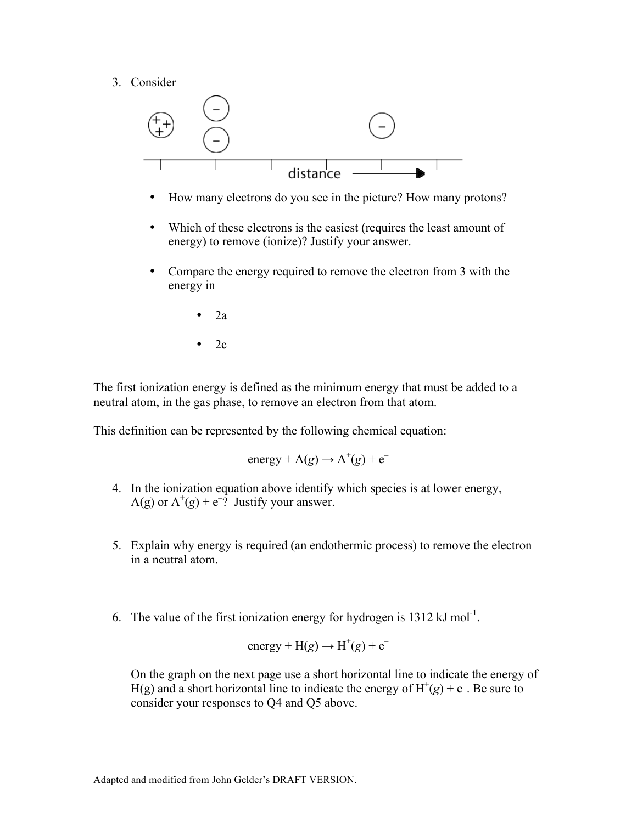3. Consider



- How many electrons do you see in the picture? How many protons?
- Which of these electrons is the easiest (requires the least amount of energy) to remove (ionize)? Justify your answer.
- Compare the energy required to remove the electron from 3 with the energy in
	- 2a
	- 2c

The first ionization energy is defined as the minimum energy that must be added to a neutral atom, in the gas phase, to remove an electron from that atom.

This definition can be represented by the following chemical equation:

energy +  $A(g) \rightarrow A^+(g) + e^-$ 

- 4. In the ionization equation above identify which species is at lower energy, A(g) or  $A^+(g)$  + e<sup>-?</sup> Justify your answer.
- 5. Explain why energy is required (an endothermic process) to remove the electron in a neutral atom.
- 6. The value of the first ionization energy for hydrogen is  $1312 \text{ kJ mol}^{-1}$ .

energy + H(g) 
$$
\rightarrow
$$
 H<sup>+</sup>(g) + e<sup>-</sup>

On the graph on the next page use a short horizontal line to indicate the energy of H(g) and a short horizontal line to indicate the energy of  $H^+(g) + e^-$ . Be sure to consider your responses to Q4 and Q5 above.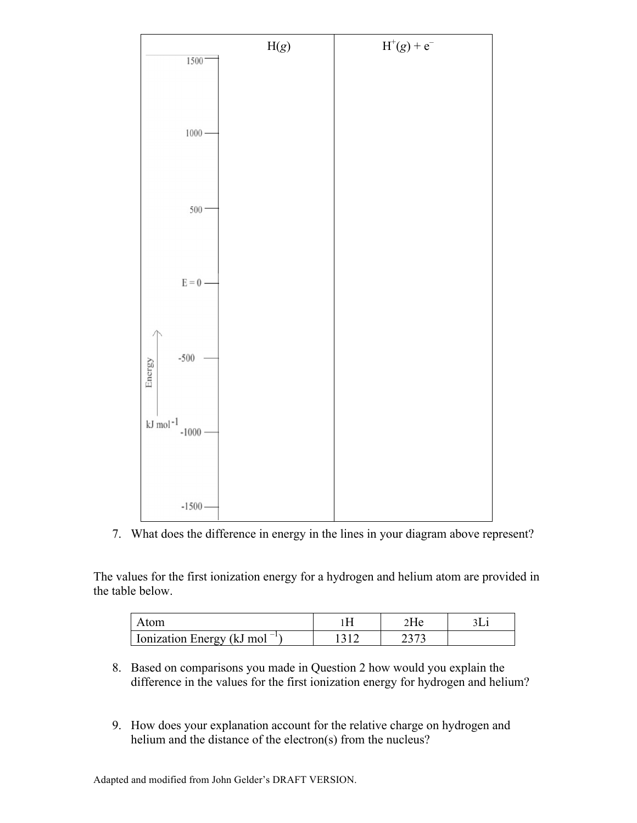

7. What does the difference in energy in the lines in your diagram above represent?

The values for the first ionization energy for a hydrogen and helium atom are provided in the table below.

| tom                         |  |  |
|-----------------------------|--|--|
| I Ionization Energy (kJ mol |  |  |

- 8. Based on comparisons you made in Question 2 how would you explain the difference in the values for the first ionization energy for hydrogen and helium?
- 9. How does your explanation account for the relative charge on hydrogen and helium and the distance of the electron(s) from the nucleus?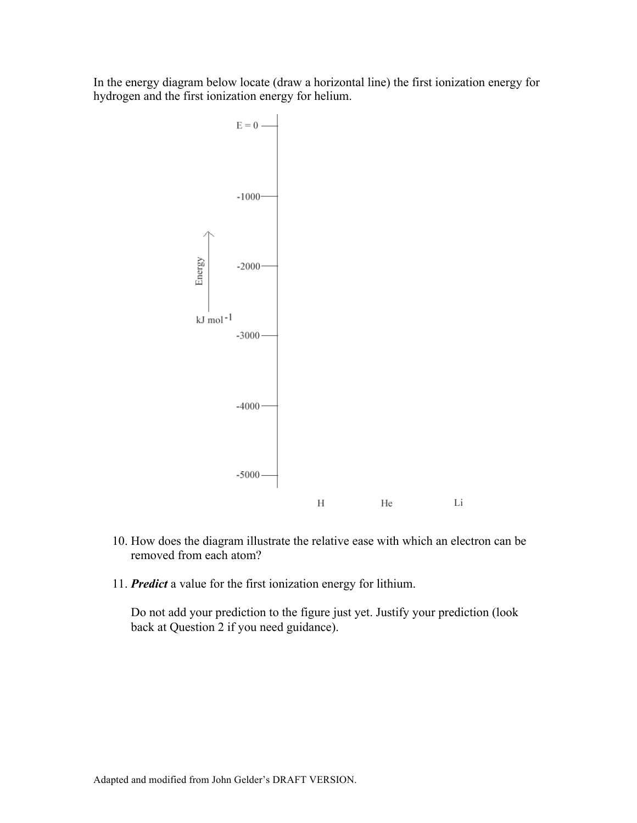In the energy diagram below locate (draw a horizontal line) the first ionization energy for hydrogen and the first ionization energy for helium.



- 10. How does the diagram illustrate the relative ease with which an electron can be removed from each atom?
- 11. *Predict* a value for the first ionization energy for lithium.

Do not add your prediction to the figure just yet. Justify your prediction (look back at Question 2 if you need guidance).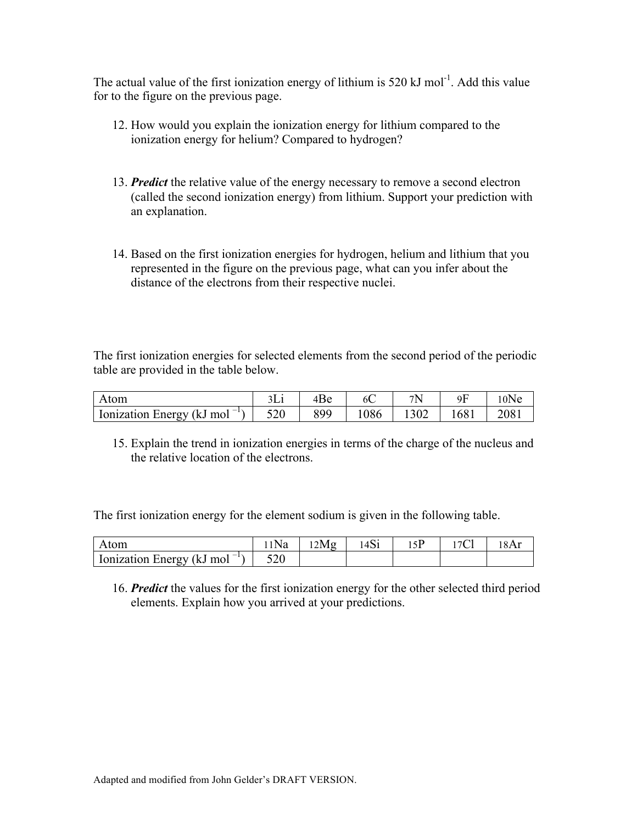The actual value of the first ionization energy of lithium is 520  $kJ$  mol<sup>-1</sup>. Add this value for to the figure on the previous page.

- 12. How would you explain the ionization energy for lithium compared to the ionization energy for helium? Compared to hydrogen?
- 13. *Predict* the relative value of the energy necessary to remove a second electron (called the second ionization energy) from lithium. Support your prediction with an explanation.
- 14. Based on the first ionization energies for hydrogen, helium and lithium that you represented in the figure on the previous page, what can you infer about the distance of the electrons from their respective nuclei.

The first ionization energies for selected elements from the second period of the periodic table are provided in the table below.

| Atom                                            |     | 4Be | 6C  | 7 <sup>N</sup> | ۵ŀ   | $10$ Ne |
|-------------------------------------------------|-----|-----|-----|----------------|------|---------|
| Ionization Energy (kJ mol<br>$\sim$ $-1$ $\sim$ | 520 | 899 | 086 |                | 1681 | 2081    |

15. Explain the trend in ionization energies in terms of the charge of the nucleus and the relative location of the electrons.

The first ionization energy for the element sodium is given in the following table.

| Atom                                 | Na  | 2Mg | 4Si |  | 18A <sub>1</sub> |
|--------------------------------------|-----|-----|-----|--|------------------|
| $1 - 1$<br>Ionization Energy (kJ mol | ∪∠ت |     |     |  |                  |

16. *Predict* the values for the first ionization energy for the other selected third period elements. Explain how you arrived at your predictions.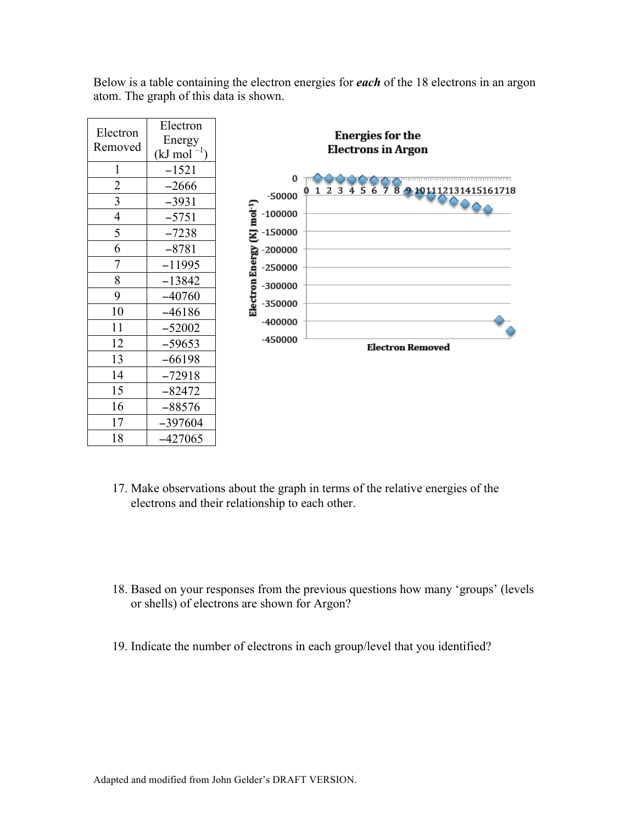

Below is a table containing the electron energies for *each* of the 18 electrons in an argon atom. The graph of this data is shown.

- 17. Make observations about the graph in terms of the relative energies of the electrons and their relationship to each other.
- 18. Based on your responses from the previous questions how many 'groups' (levels or shells) of electrons are shown for Argon?
- 19. Indicate the number of electrons in each group/level that you identified?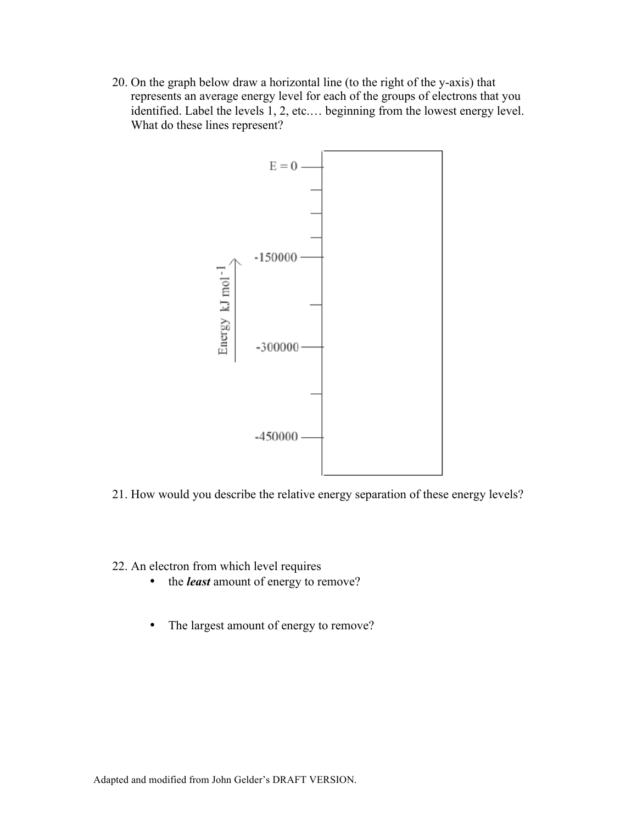20. On the graph below draw a horizontal line (to the right of the y-axis) that represents an average energy level for each of the groups of electrons that you identified. Label the levels 1, 2, etc.… beginning from the lowest energy level. What do these lines represent?



- 21. How would you describe the relative energy separation of these energy levels?
- 22. An electron from which level requires
	- the *least* amount of energy to remove?
	- The largest amount of energy to remove?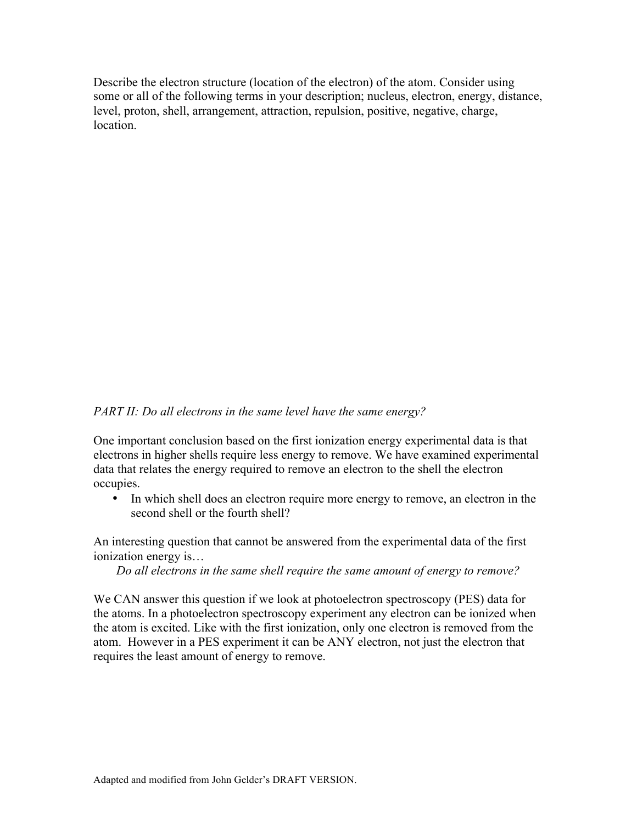Describe the electron structure (location of the electron) of the atom. Consider using some or all of the following terms in your description; nucleus, electron, energy, distance, level, proton, shell, arrangement, attraction, repulsion, positive, negative, charge, location.

## *PART II: Do all electrons in the same level have the same energy?*

One important conclusion based on the first ionization energy experimental data is that electrons in higher shells require less energy to remove. We have examined experimental data that relates the energy required to remove an electron to the shell the electron occupies.

• In which shell does an electron require more energy to remove, an electron in the second shell or the fourth shell?

An interesting question that cannot be answered from the experimental data of the first ionization energy is…

*Do all electrons in the same shell require the same amount of energy to remove?* 

We CAN answer this question if we look at photoelectron spectroscopy (PES) data for the atoms. In a photoelectron spectroscopy experiment any electron can be ionized when the atom is excited. Like with the first ionization, only one electron is removed from the atom. However in a PES experiment it can be ANY electron, not just the electron that requires the least amount of energy to remove.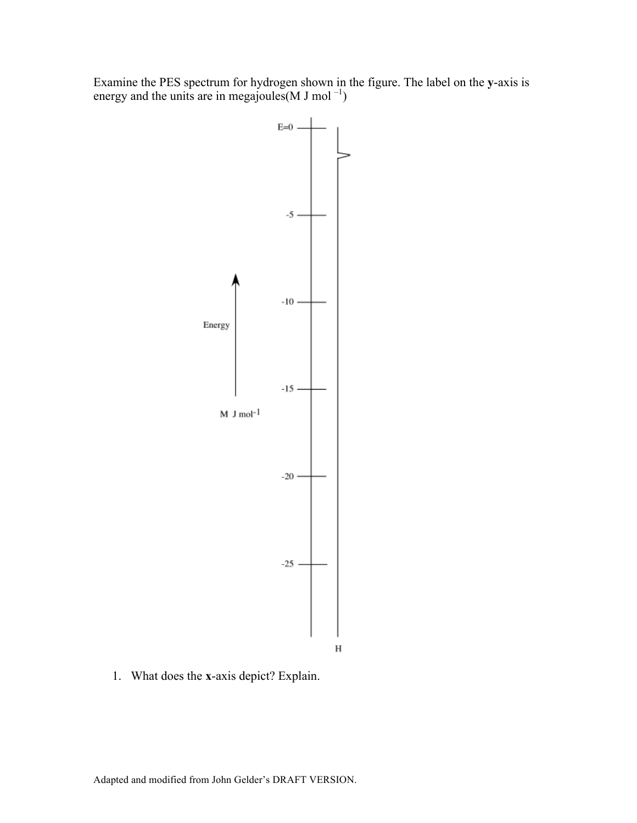Examine the PES spectrum for hydrogen shown in the figure. The label on the **y**-axis is energy and the units are in megajoules (M J mol<sup>-1</sup>)



1. What does the **x**-axis depict? Explain.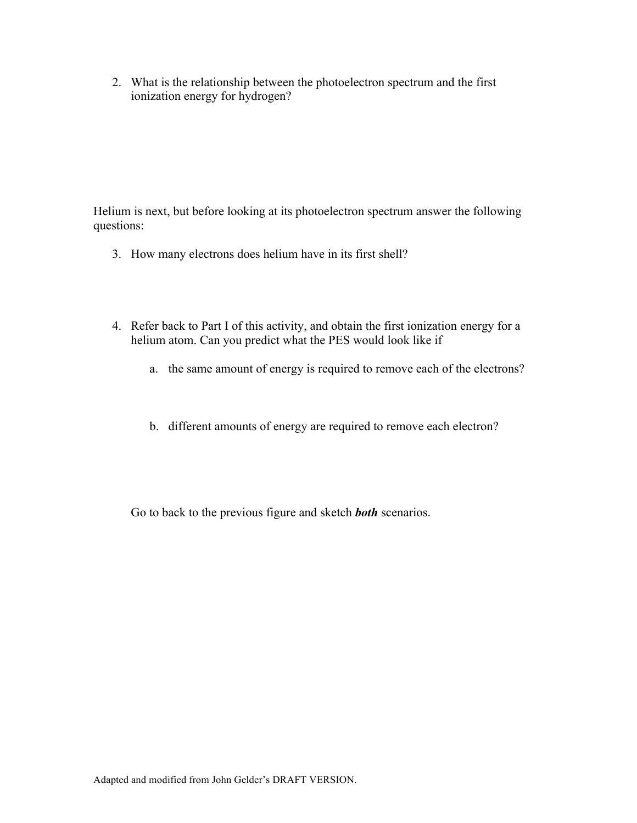2. What is the relationship between the photoelectron spectrum and the first ionization energy for hydrogen?

Helium is next, but before looking at its photoelectron spectrum answer the following questions:

- 3. How many electrons does helium have in its first shell?
- 4. Refer back to Part I of this activity, and obtain the first ionization energy for a helium atom. Can you predict what the PES would look like if
	- a. the same amount of energy is required to remove each of the electrons?
	- b. different amounts of energy are required to remove each electron?

Go to back to the previous figure and sketch *both* scenarios.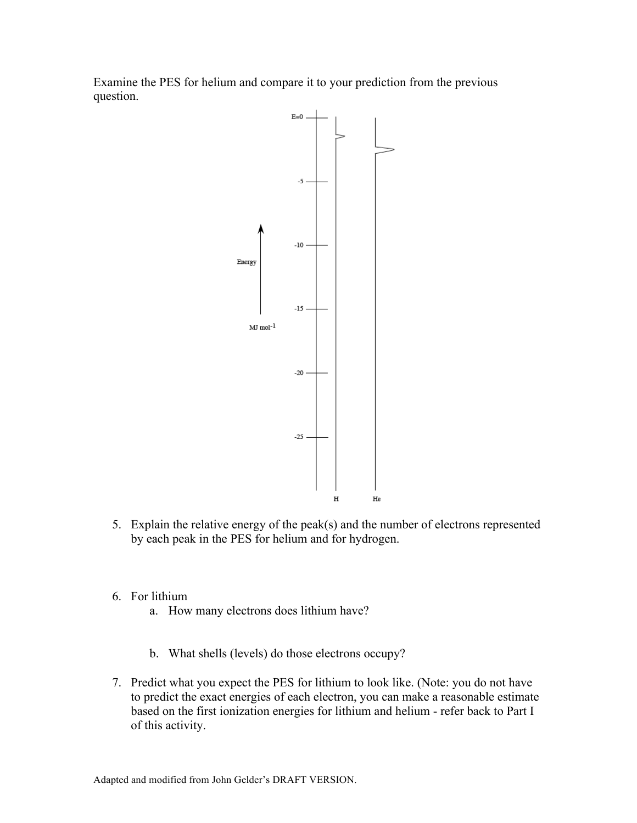Examine the PES for helium and compare it to your prediction from the previous question.



- 5. Explain the relative energy of the peak(s) and the number of electrons represented by each peak in the PES for helium and for hydrogen.
- 6. For lithium
	- a. How many electrons does lithium have?
	- b. What shells (levels) do those electrons occupy?
- 7. Predict what you expect the PES for lithium to look like. (Note: you do not have to predict the exact energies of each electron, you can make a reasonable estimate based on the first ionization energies for lithium and helium - refer back to Part I of this activity.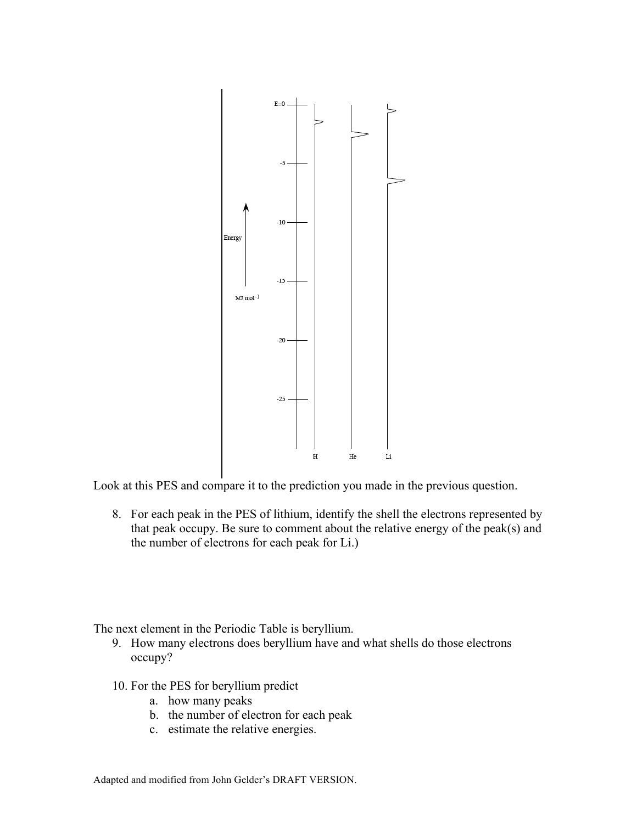

Look at this PES and compare it to the prediction you made in the previous question.

8. For each peak in the PES of lithium, identify the shell the electrons represented by that peak occupy. Be sure to comment about the relative energy of the peak(s) and the number of electrons for each peak for Li.)

The next element in the Periodic Table is beryllium.

- 9. How many electrons does beryllium have and what shells do those electrons occupy?
- 10. For the PES for beryllium predict
	- a. how many peaks
	- b. the number of electron for each peak
	- c. estimate the relative energies.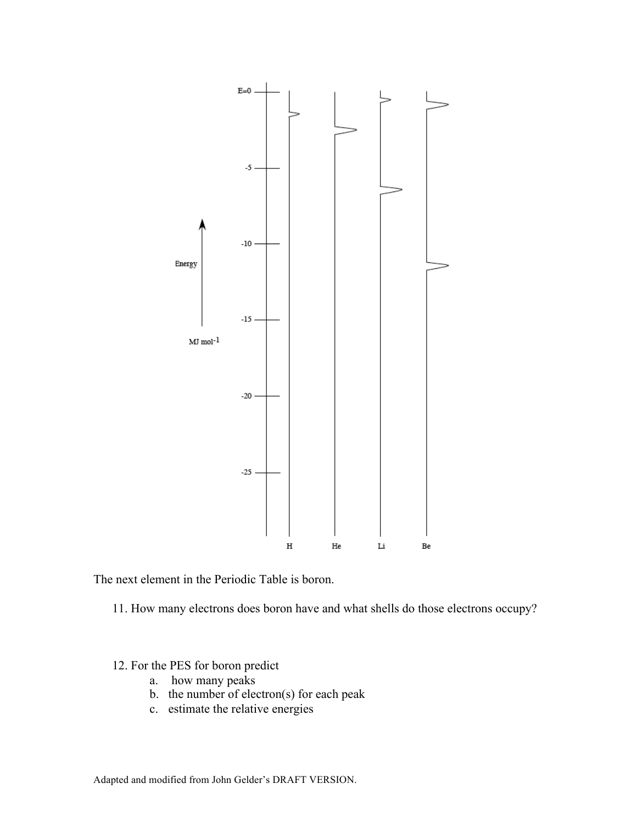

The next element in the Periodic Table is boron.

11. How many electrons does boron have and what shells do those electrons occupy?

- 12. For the PES for boron predict
	- a. how many peaks
	- b. the number of electron(s) for each peak
	- c. estimate the relative energies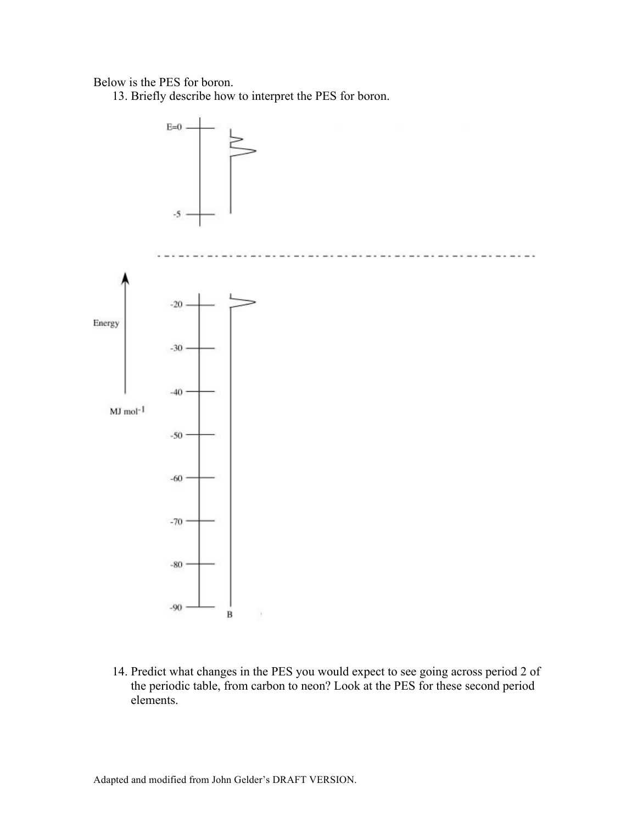## Below is the PES for boron.

13. Briefly describe how to interpret the PES for boron.



14. Predict what changes in the PES you would expect to see going across period 2 of the periodic table, from carbon to neon? Look at the PES for these second period elements.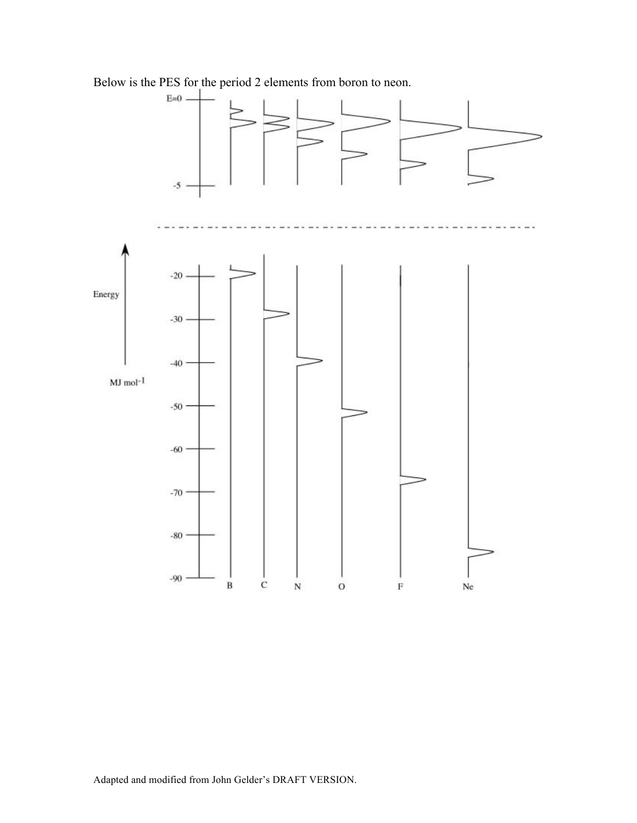Below is the PES for the period 2 elements from boron to neon.